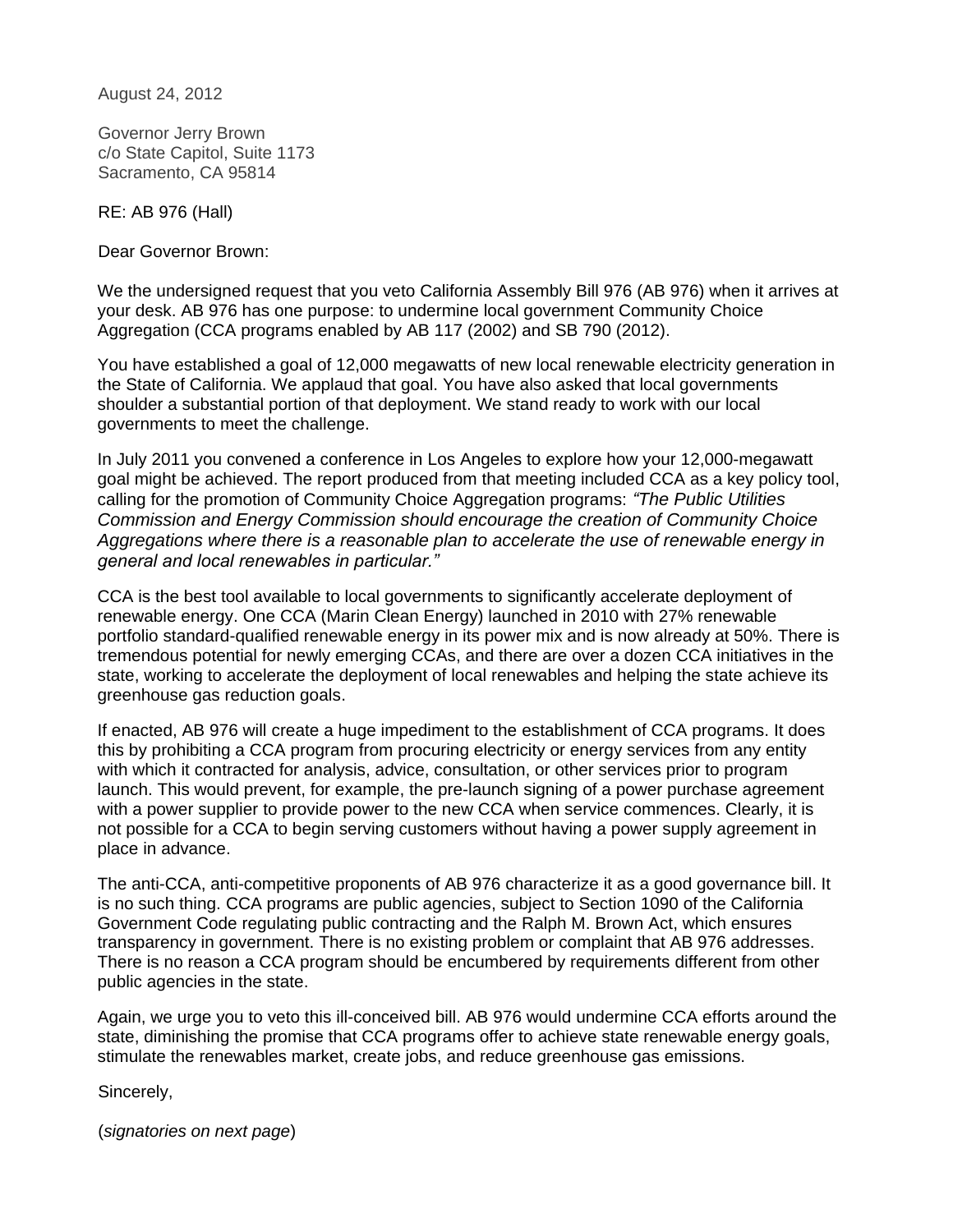August 24, 2012

Governor Jerry Brown c/o State Capitol, Suite 1173 Sacramento, CA 95814

RE: AB 976 (Hall)

Dear Governor Brown:

We the undersigned request that you veto California Assembly Bill 976 (AB 976) when it arrives at your desk. AB 976 has one purpose: to undermine local government Community Choice Aggregation (CCA programs enabled by AB 117 (2002) and SB 790 (2012).

You have established a goal of 12,000 megawatts of new local renewable electricity generation in the State of California. We applaud that goal. You have also asked that local governments shoulder a substantial portion of that deployment. We stand ready to work with our local governments to meet the challenge.

In July 2011 you convened a conference in Los Angeles to explore how your 12,000-megawatt goal might be achieved. The report produced from that meeting included CCA as a key policy tool, calling for the promotion of Community Choice Aggregation programs: *"The Public Utilities Commission and Energy Commission should encourage the creation of Community Choice Aggregations where there is a reasonable plan to accelerate the use of renewable energy in general and local renewables in particular."*

CCA is the best tool available to local governments to significantly accelerate deployment of renewable energy. One CCA (Marin Clean Energy) launched in 2010 with 27% renewable portfolio standard-qualified renewable energy in its power mix and is now already at 50%. There is tremendous potential for newly emerging CCAs, and there are over a dozen CCA initiatives in the state, working to accelerate the deployment of local renewables and helping the state achieve its greenhouse gas reduction goals.

If enacted, AB 976 will create a huge impediment to the establishment of CCA programs. It does this by prohibiting a CCA program from procuring electricity or energy services from any entity with which it contracted for analysis, advice, consultation, or other services prior to program launch. This would prevent, for example, the pre-launch signing of a power purchase agreement with a power supplier to provide power to the new CCA when service commences. Clearly, it is not possible for a CCA to begin serving customers without having a power supply agreement in place in advance.

The anti-CCA, anti-competitive proponents of AB 976 characterize it as a good governance bill. It is no such thing. CCA programs are public agencies, subject to Section 1090 of the California Government Code regulating public contracting and the Ralph M. Brown Act, which ensures transparency in government. There is no existing problem or complaint that AB 976 addresses. There is no reason a CCA program should be encumbered by requirements different from other public agencies in the state.

Again, we urge you to veto this ill-conceived bill. AB 976 would undermine CCA efforts around the state, diminishing the promise that CCA programs offer to achieve state renewable energy goals, stimulate the renewables market, create jobs, and reduce greenhouse gas emissions.

Sincerely,

(*signatories on next page*)